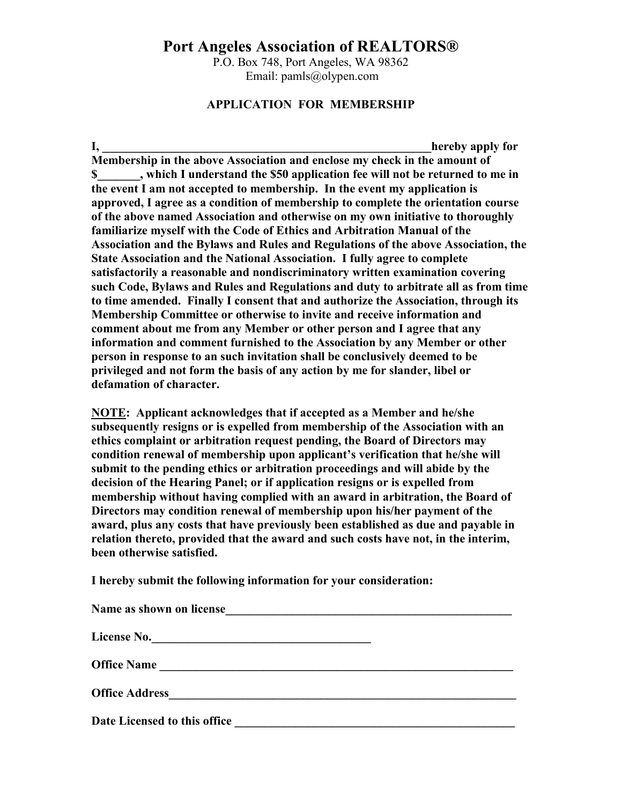## **Port Angeles Association of REALTORS®**

P.O. Box 748, Port Angeles, WA 98362 Email: pamls@olypen.com

## **APPLICATION FOR MEMBERSHIP**

**I,** the contract of the contract of the contract of the contract of the contract of the contract of the contract of the contract of the contract of the contract of the contract of the contract of the contract of the contr **Membership in the above Association and enclose my check in the amount of \$\_\_\_\_\_\_\_, which I understand the \$50 application fee will not be returned to me in the event I am not accepted to membership. In the event my application is approved, I agree as a condition of membership to complete the orientation course of the above named Association and otherwise on my own initiative to thoroughly familiarize myself with the Code of Ethics and Arbitration Manual of the Association and the Bylaws and Rules and Regulations of the above Association, the State Association and the National Association. I fully agree to complete satisfactorily a reasonable and nondiscriminatory written examination covering such Code, Bylaws and Rules and Regulations and duty to arbitrate all as from time to time amended. Finally I consent that and authorize the Association, through its Membership Committee or otherwise to invite and receive information and comment about me from any Member or other person and I agree that any information and comment furnished to the Association by any Member or other person in response to an such invitation shall be conclusively deemed to be privileged and not form the basis of any action by me for slander, libel or defamation of character.**

**NOTE: Applicant acknowledges that if accepted as a Member and he/she subsequently resigns or is expelled from membership of the Association with an ethics complaint or arbitration request pending, the Board of Directors may condition renewal of membership upon applicant's verification that he/she will submit to the pending ethics or arbitration proceedings and will abide by the decision of the Hearing Panel; or if application resigns or is expelled from membership without having complied with an award in arbitration, the Board of Directors may condition renewal of membership upon his/her payment of the award, plus any costs that have previously been established as due and payable in relation thereto, provided that the award and such costs have not, in the interim, been otherwise satisfied.**

**I hereby submit the following information for your consideration:**

| Name as shown on license                                                                                                                    |  |
|---------------------------------------------------------------------------------------------------------------------------------------------|--|
| License No.                                                                                                                                 |  |
| <b>Office Name</b><br><u> 1980 - Jan Samuel Barbara, margaret e</u> n 1980 eta 1980 eta 1980 eta 1980 eta 1980 eta 1980 eta 1980 eta 1980 e |  |
| <b>Office Address</b><br><u> 1989 - Johann Stein, fransk politik (</u>                                                                      |  |
| Date Licensed to this office                                                                                                                |  |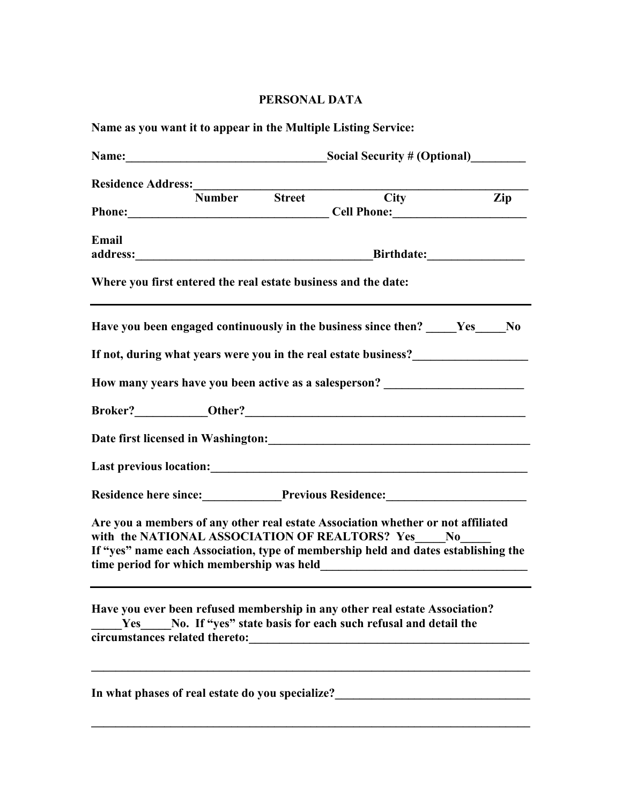## **PERSONAL DATA**

|                                | Residence Address:<br>Number Street City<br>Phone: Cell Phone: Cell Phone:<br>address: Birthdate: Birthdate: | $\overline{Zip}$                                                                                                                                                                                                                                                                                                                                                                                                                                                                                                                                                                                                                                                |
|--------------------------------|--------------------------------------------------------------------------------------------------------------|-----------------------------------------------------------------------------------------------------------------------------------------------------------------------------------------------------------------------------------------------------------------------------------------------------------------------------------------------------------------------------------------------------------------------------------------------------------------------------------------------------------------------------------------------------------------------------------------------------------------------------------------------------------------|
|                                |                                                                                                              |                                                                                                                                                                                                                                                                                                                                                                                                                                                                                                                                                                                                                                                                 |
|                                |                                                                                                              |                                                                                                                                                                                                                                                                                                                                                                                                                                                                                                                                                                                                                                                                 |
|                                |                                                                                                              |                                                                                                                                                                                                                                                                                                                                                                                                                                                                                                                                                                                                                                                                 |
|                                |                                                                                                              |                                                                                                                                                                                                                                                                                                                                                                                                                                                                                                                                                                                                                                                                 |
|                                |                                                                                                              |                                                                                                                                                                                                                                                                                                                                                                                                                                                                                                                                                                                                                                                                 |
|                                | Where you first entered the real estate business and the date:                                               |                                                                                                                                                                                                                                                                                                                                                                                                                                                                                                                                                                                                                                                                 |
|                                | Have you been engaged continuously in the business since then? Yes No                                        |                                                                                                                                                                                                                                                                                                                                                                                                                                                                                                                                                                                                                                                                 |
|                                |                                                                                                              |                                                                                                                                                                                                                                                                                                                                                                                                                                                                                                                                                                                                                                                                 |
|                                |                                                                                                              |                                                                                                                                                                                                                                                                                                                                                                                                                                                                                                                                                                                                                                                                 |
|                                |                                                                                                              |                                                                                                                                                                                                                                                                                                                                                                                                                                                                                                                                                                                                                                                                 |
|                                |                                                                                                              |                                                                                                                                                                                                                                                                                                                                                                                                                                                                                                                                                                                                                                                                 |
|                                |                                                                                                              |                                                                                                                                                                                                                                                                                                                                                                                                                                                                                                                                                                                                                                                                 |
|                                |                                                                                                              |                                                                                                                                                                                                                                                                                                                                                                                                                                                                                                                                                                                                                                                                 |
|                                |                                                                                                              |                                                                                                                                                                                                                                                                                                                                                                                                                                                                                                                                                                                                                                                                 |
|                                |                                                                                                              |                                                                                                                                                                                                                                                                                                                                                                                                                                                                                                                                                                                                                                                                 |
| circumstances related thereto: |                                                                                                              |                                                                                                                                                                                                                                                                                                                                                                                                                                                                                                                                                                                                                                                                 |
|                                |                                                                                                              | How many years have you been active as a salesperson? __________________________<br>Last previous location:<br><u>Last previous location</u> :<br>Residence here since:<br><u>Previous Residence:</u><br><u>Previous Residence:</u><br>Are you a members of any other real estate Association whether or not affiliated<br>with the NATIONAL ASSOCIATION OF REALTORS? Yes No<br>If "yes" name each Association, type of membership held and dates establishing the<br>time period for which membership was held<br>Have you ever been refused membership in any other real estate Association?<br>No. If "yes" state basis for each such refusal and detail the |